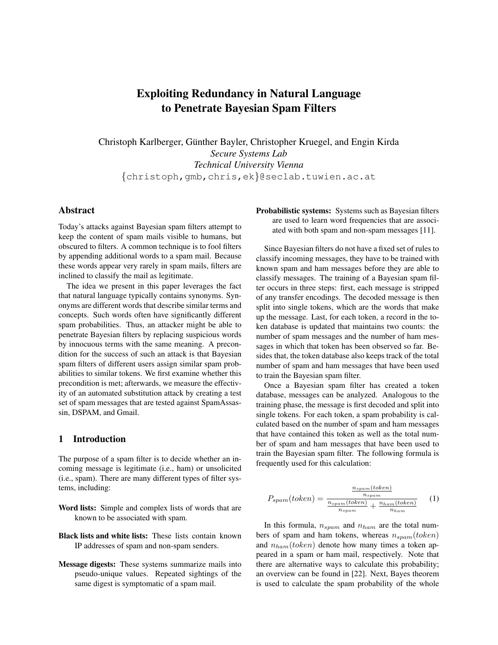# Exploiting Redundancy in Natural Language to Penetrate Bayesian Spam Filters

Christoph Karlberger, Günther Bayler, Christopher Kruegel, and Engin Kirda *Secure Systems Lab Technical University Vienna* {christoph,gmb,chris,ek}@seclab.tuwien.ac.at

# Abstract

Today's attacks against Bayesian spam filters attempt to keep the content of spam mails visible to humans, but obscured to filters. A common technique is to fool filters by appending additional words to a spam mail. Because these words appear very rarely in spam mails, filters are inclined to classify the mail as legitimate.

The idea we present in this paper leverages the fact that natural language typically contains synonyms. Synonyms are different words that describe similar terms and concepts. Such words often have significantly different spam probabilities. Thus, an attacker might be able to penetrate Bayesian filters by replacing suspicious words by innocuous terms with the same meaning. A precondition for the success of such an attack is that Bayesian spam filters of different users assign similar spam probabilities to similar tokens. We first examine whether this precondition is met; afterwards, we measure the effectivity of an automated substitution attack by creating a test set of spam messages that are tested against SpamAssassin, DSPAM, and Gmail.

# 1 Introduction

The purpose of a spam filter is to decide whether an incoming message is legitimate (i.e., ham) or unsolicited (i.e., spam). There are many different types of filter systems, including:

- Word lists: Simple and complex lists of words that are known to be associated with spam.
- Black lists and white lists: These lists contain known IP addresses of spam and non-spam senders.
- Message digests: These systems summarize mails into pseudo-unique values. Repeated sightings of the same digest is symptomatic of a spam mail.

Probabilistic systems: Systems such as Bayesian filters are used to learn word frequencies that are associated with both spam and non-spam messages [11].

Since Bayesian filters do not have a fixed set of rules to classify incoming messages, they have to be trained with known spam and ham messages before they are able to classify messages. The training of a Bayesian spam filter occurs in three steps: first, each message is stripped of any transfer encodings. The decoded message is then split into single tokens, which are the words that make up the message. Last, for each token, a record in the token database is updated that maintains two counts: the number of spam messages and the number of ham messages in which that token has been observed so far. Besides that, the token database also keeps track of the total number of spam and ham messages that have been used to train the Bayesian spam filter.

Once a Bayesian spam filter has created a token database, messages can be analyzed. Analogous to the training phase, the message is first decoded and split into single tokens. For each token, a spam probability is calculated based on the number of spam and ham messages that have contained this token as well as the total number of spam and ham messages that have been used to train the Bayesian spam filter. The following formula is frequently used for this calculation:

$$
P_{spam}(token) = \frac{\frac{n_{spam}(token)}{n_{spam}}}{\frac{n_{spam}(token)}{n_{spam}} + \frac{n_{ham}(token)}{n_{ham}}}
$$
(1)

In this formula,  $n_{spam}$  and  $n_{ham}$  are the total numbers of spam and ham tokens, whereas  $n_{spam}(token)$ and  $n_{ham}(token)$  denote how many times a token appeared in a spam or ham mail, respectively. Note that there are alternative ways to calculate this probability; an overview can be found in [22]. Next, Bayes theorem is used to calculate the spam probability of the whole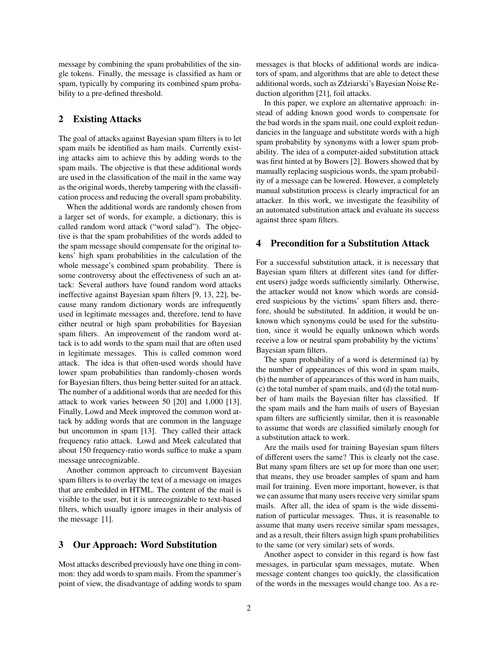message by combining the spam probabilities of the single tokens. Finally, the message is classified as ham or spam, typically by comparing its combined spam probability to a pre-defined threshold.

#### 2 Existing Attacks

The goal of attacks against Bayesian spam filters is to let spam mails be identified as ham mails. Currently existing attacks aim to achieve this by adding words to the spam mails. The objective is that these additional words are used in the classification of the mail in the same way as the original words, thereby tampering with the classification process and reducing the overall spam probability.

When the additional words are randomly chosen from a larger set of words, for example, a dictionary, this is called random word attack ("word salad"). The objective is that the spam probabilities of the words added to the spam message should compensate for the original tokens' high spam probabilities in the calculation of the whole message's combined spam probability. There is some controversy about the effectiveness of such an attack: Several authors have found random word attacks ineffective against Bayesian spam filters [9, 13, 22], because many random dictionary words are infrequently used in legitimate messages and, therefore, tend to have either neutral or high spam probabilities for Bayesian spam filters. An improvement of the random word attack is to add words to the spam mail that are often used in legitimate messages. This is called common word attack. The idea is that often-used words should have lower spam probabilities than randomly-chosen words for Bayesian filters, thus being better suited for an attack. The number of a additional words that are needed for this attack to work varies between 50 [20] and 1,000 [13]. Finally, Lowd and Meek improved the common word attack by adding words that are common in the language but uncommon in spam [13]. They called their attack frequency ratio attack. Lowd and Meek calculated that about 150 frequency-ratio words suffice to make a spam message unrecognizable.

Another common approach to circumvent Bayesian spam filters is to overlay the text of a message on images that are embedded in HTML. The content of the mail is visible to the user, but it is unrecognizable to text-based filters, which usually ignore images in their analysis of the message [1].

#### 3 Our Approach: Word Substitution

Most attacks described previously have one thing in common: they add words to spam mails. From the spammer's point of view, the disadvantage of adding words to spam messages is that blocks of additional words are indicators of spam, and algorithms that are able to detect these additional words, such as Zdziarski's Bayesian Noise Reduction algorithm [21], foil attacks.

In this paper, we explore an alternative approach: instead of adding known good words to compensate for the bad words in the spam mail, one could exploit redundancies in the language and substitute words with a high spam probability by synonyms with a lower spam probability. The idea of a computer-aided substitution attack was first hinted at by Bowers [2]. Bowers showed that by manually replacing suspicious words, the spam probability of a message can be lowered. However, a completely manual substitution process is clearly impractical for an attacker. In this work, we investigate the feasibility of an automated substitution attack and evaluate its success against three spam filters.

#### 4 Precondition for a Substitution Attack

For a successful substitution attack, it is necessary that Bayesian spam filters at different sites (and for different users) judge words sufficiently similarly. Otherwise, the attacker would not know which words are considered suspicious by the victims' spam filters and, therefore, should be substituted. In addition, it would be unknown which synonyms could be used for the substitution, since it would be equally unknown which words receive a low or neutral spam probability by the victims' Bayesian spam filters.

The spam probability of a word is determined (a) by the number of appearances of this word in spam mails, (b) the number of appearances of this word in ham mails, (c) the total number of spam mails, and (d) the total number of ham mails the Bayesian filter has classified. If the spam mails and the ham mails of users of Bayesian spam filters are sufficiently similar, then it is reasonable to assume that words are classified similarly enough for a substitution attack to work.

Are the mails used for training Bayesian spam filters of different users the same? This is clearly not the case. But many spam filters are set up for more than one user; that means, they use broader samples of spam and ham mail for training. Even more important, however, is that we can assume that many users receive very similar spam mails. After all, the idea of spam is the wide dissemination of particular messages. Thus, it is reasonable to assume that many users receive similar spam messages, and as a result, their filters assign high spam probabilities to the same (or very similar) sets of words.

Another aspect to consider in this regard is how fast messages, in particular spam messages, mutate. When message content changes too quickly, the classification of the words in the messages would change too. As a re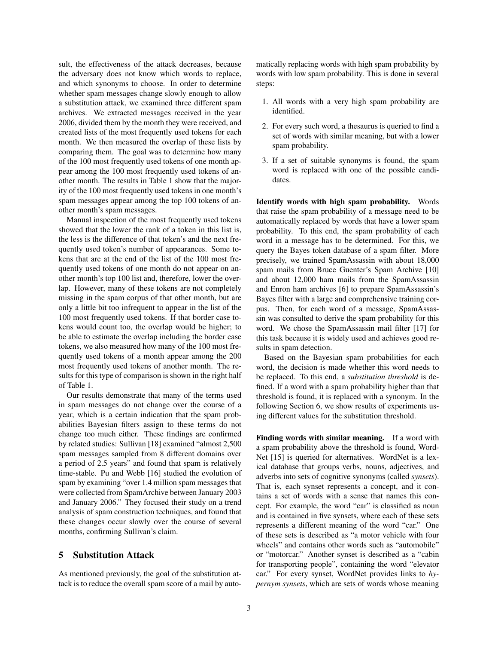sult, the effectiveness of the attack decreases, because the adversary does not know which words to replace, and which synonyms to choose. In order to determine whether spam messages change slowly enough to allow a substitution attack, we examined three different spam archives. We extracted messages received in the year 2006, divided them by the month they were received, and created lists of the most frequently used tokens for each month. We then measured the overlap of these lists by comparing them. The goal was to determine how many of the 100 most frequently used tokens of one month appear among the 100 most frequently used tokens of another month. The results in Table 1 show that the majority of the 100 most frequently used tokens in one month's spam messages appear among the top 100 tokens of another month's spam messages.

Manual inspection of the most frequently used tokens showed that the lower the rank of a token in this list is, the less is the difference of that token's and the next frequently used token's number of appearances. Some tokens that are at the end of the list of the 100 most frequently used tokens of one month do not appear on another month's top 100 list and, therefore, lower the overlap. However, many of these tokens are not completely missing in the spam corpus of that other month, but are only a little bit too infrequent to appear in the list of the 100 most frequently used tokens. If that border case tokens would count too, the overlap would be higher; to be able to estimate the overlap including the border case tokens, we also measured how many of the 100 most frequently used tokens of a month appear among the 200 most frequently used tokens of another month. The results for this type of comparison is shown in the right half of Table 1.

Our results demonstrate that many of the terms used in spam messages do not change over the course of a year, which is a certain indication that the spam probabilities Bayesian filters assign to these terms do not change too much either. These findings are confirmed by related studies: Sullivan [18] examined "almost 2,500 spam messages sampled from 8 different domains over a period of 2.5 years" and found that spam is relatively time-stable. Pu and Webb [16] studied the evolution of spam by examining "over 1.4 million spam messages that were collected from SpamArchive between January 2003 and January 2006." They focused their study on a trend analysis of spam construction techniques, and found that these changes occur slowly over the course of several months, confirming Sullivan's claim.

# 5 Substitution Attack

As mentioned previously, the goal of the substitution attack is to reduce the overall spam score of a mail by automatically replacing words with high spam probability by words with low spam probability. This is done in several steps:

- 1. All words with a very high spam probability are identified.
- 2. For every such word, a thesaurus is queried to find a set of words with similar meaning, but with a lower spam probability.
- 3. If a set of suitable synonyms is found, the spam word is replaced with one of the possible candidates.

Identify words with high spam probability. Words that raise the spam probability of a message need to be automatically replaced by words that have a lower spam probability. To this end, the spam probability of each word in a message has to be determined. For this, we query the Bayes token database of a spam filter. More precisely, we trained SpamAssassin with about 18,000 spam mails from Bruce Guenter's Spam Archive [10] and about 12,000 ham mails from the SpamAssassin and Enron ham archives [6] to prepare SpamAssassin's Bayes filter with a large and comprehensive training corpus. Then, for each word of a message, SpamAssassin was consulted to derive the spam probability for this word. We chose the SpamAssassin mail filter [17] for this task because it is widely used and achieves good results in spam detection.

Based on the Bayesian spam probabilities for each word, the decision is made whether this word needs to be replaced. To this end, a *substitution threshold* is defined. If a word with a spam probability higher than that threshold is found, it is replaced with a synonym. In the following Section 6, we show results of experiments using different values for the substitution threshold.

Finding words with similar meaning. If a word with a spam probability above the threshold is found, Word-Net [15] is queried for alternatives. WordNet is a lexical database that groups verbs, nouns, adjectives, and adverbs into sets of cognitive synonyms (called *synsets*). That is, each synset represents a concept, and it contains a set of words with a sense that names this concept. For example, the word "car" is classified as noun and is contained in five synsets, where each of these sets represents a different meaning of the word "car." One of these sets is described as "a motor vehicle with four wheels" and contains other words such as "automobile" or "motorcar." Another synset is described as a "cabin for transporting people", containing the word "elevator car." For every synset, WordNet provides links to *hypernym synsets*, which are sets of words whose meaning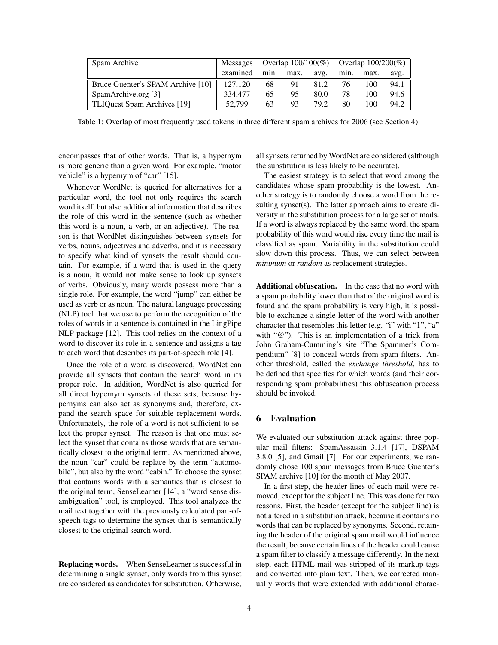| Spam Archive                      | Messages | Overlap $100/100\%$ Overlap $100/200\%$ |      |      |      |      |      |
|-----------------------------------|----------|-----------------------------------------|------|------|------|------|------|
|                                   | examined | min.                                    | max. | avg. | min. | max. | avg. |
| Bruce Guenter's SPAM Archive [10] | 127,120  | 68                                      | 91   | 81.2 | 76   | 100  | 94.1 |
| SpamArchive.org [3]               | 334,477  | 65                                      | 95   | 80.0 | 78   | 100  | 94.6 |
| TLIQuest Spam Archives [19]       | 52,799   | 63                                      | 93   | 79.2 | 80   | 100  | 94.2 |

Table 1: Overlap of most frequently used tokens in three different spam archives for 2006 (see Section 4).

encompasses that of other words. That is, a hypernym is more generic than a given word. For example, "motor vehicle" is a hypernym of "car" [15].

Whenever WordNet is queried for alternatives for a particular word, the tool not only requires the search word itself, but also additional information that describes the role of this word in the sentence (such as whether this word is a noun, a verb, or an adjective). The reason is that WordNet distinguishes between synsets for verbs, nouns, adjectives and adverbs, and it is necessary to specify what kind of synsets the result should contain. For example, if a word that is used in the query is a noun, it would not make sense to look up synsets of verbs. Obviously, many words possess more than a single role. For example, the word "jump" can either be used as verb or as noun. The natural language processing (NLP) tool that we use to perform the recognition of the roles of words in a sentence is contained in the LingPipe NLP package [12]. This tool relies on the context of a word to discover its role in a sentence and assigns a tag to each word that describes its part-of-speech role [4].

Once the role of a word is discovered, WordNet can provide all synsets that contain the search word in its proper role. In addition, WordNet is also queried for all direct hypernym synsets of these sets, because hypernyms can also act as synonyms and, therefore, expand the search space for suitable replacement words. Unfortunately, the role of a word is not sufficient to select the proper synset. The reason is that one must select the synset that contains those words that are semantically closest to the original term. As mentioned above, the noun "car" could be replace by the term "automobile", but also by the word "cabin." To choose the synset that contains words with a semantics that is closest to the original term, SenseLearner [14], a "word sense disambiguation" tool, is employed. This tool analyzes the mail text together with the previously calculated part-ofspeech tags to determine the synset that is semantically closest to the original search word.

Replacing words. When SenseLearner is successful in determining a single synset, only words from this synset are considered as candidates for substitution. Otherwise, all synsets returned by WordNet are considered (although the substitution is less likely to be accurate).

The easiest strategy is to select that word among the candidates whose spam probability is the lowest. Another strategy is to randomly choose a word from the resulting synset(s). The latter approach aims to create diversity in the substitution process for a large set of mails. If a word is always replaced by the same word, the spam probability of this word would rise every time the mail is classified as spam. Variability in the substitution could slow down this process. Thus, we can select between *minimum* or *random* as replacement strategies.

Additional obfuscation. In the case that no word with a spam probability lower than that of the original word is found and the spam probability is very high, it is possible to exchange a single letter of the word with another character that resembles this letter (e.g. "i" with "1", "a" with "@"). This is an implementation of a trick from John Graham-Cumming's site "The Spammer's Compendium" [8] to conceal words from spam filters. Another threshold, called the *exchange threshold*, has to be defined that specifies for which words (and their corresponding spam probabilities) this obfuscation process should be invoked.

## 6 Evaluation

We evaluated our substitution attack against three popular mail filters: SpamAssassin 3.1.4 [17], DSPAM 3.8.0 [5], and Gmail [7]. For our experiments, we randomly chose 100 spam messages from Bruce Guenter's SPAM archive [10] for the month of May 2007.

In a first step, the header lines of each mail were removed, except for the subject line. This was done for two reasons. First, the header (except for the subject line) is not altered in a substitution attack, because it contains no words that can be replaced by synonyms. Second, retaining the header of the original spam mail would influence the result, because certain lines of the header could cause a spam filter to classify a message differently. In the next step, each HTML mail was stripped of its markup tags and converted into plain text. Then, we corrected manually words that were extended with additional charac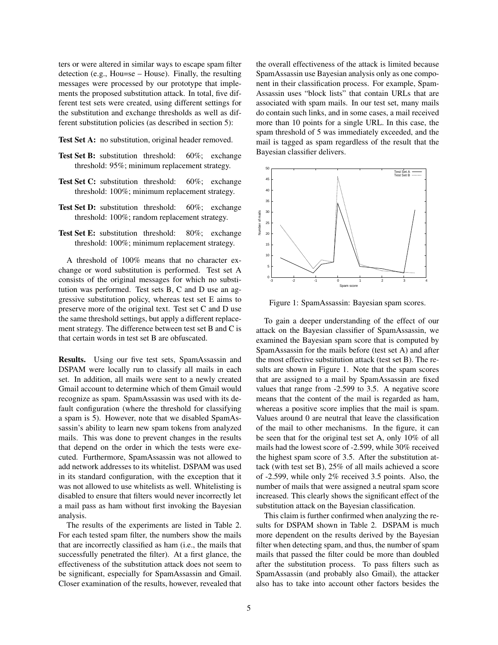ters or were altered in similar ways to escape spam filter detection (e.g., Hou=se – House). Finally, the resulting messages were processed by our prototype that implements the proposed substitution attack. In total, five different test sets were created, using different settings for the substitution and exchange thresholds as well as different substitution policies (as described in section 5):

Test Set A: no substitution, original header removed.

- Test Set B: substitution threshold: 60%; exchange threshold: 95%; minimum replacement strategy.
- Test Set C: substitution threshold: 60%; exchange threshold: 100%; minimum replacement strategy.
- Test Set D: substitution threshold: 60%; exchange threshold: 100%; random replacement strategy.
- Test Set E: substitution threshold: 80%; exchange threshold: 100%; minimum replacement strategy.

A threshold of 100% means that no character exchange or word substitution is performed. Test set A consists of the original messages for which no substitution was performed. Test sets B, C and D use an aggressive substitution policy, whereas test set E aims to preserve more of the original text. Test set C and D use the same threshold settings, but apply a different replacement strategy. The difference between test set B and C is that certain words in test set B are obfuscated.

Results. Using our five test sets, SpamAssassin and DSPAM were locally run to classify all mails in each set. In addition, all mails were sent to a newly created Gmail account to determine which of them Gmail would recognize as spam. SpamAssassin was used with its default configuration (where the threshold for classifying a spam is 5). However, note that we disabled SpamAssassin's ability to learn new spam tokens from analyzed mails. This was done to prevent changes in the results that depend on the order in which the tests were executed. Furthermore, SpamAssassin was not allowed to add network addresses to its whitelist. DSPAM was used in its standard configuration, with the exception that it was not allowed to use whitelists as well. Whitelisting is disabled to ensure that filters would never incorrectly let a mail pass as ham without first invoking the Bayesian analysis.

The results of the experiments are listed in Table 2. For each tested spam filter, the numbers show the mails that are incorrectly classified as ham (i.e., the mails that successfully penetrated the filter). At a first glance, the effectiveness of the substitution attack does not seem to be significant, especially for SpamAssassin and Gmail. Closer examination of the results, however, revealed that the overall effectiveness of the attack is limited because SpamAssassin use Bayesian analysis only as one component in their classification process. For example, Spam-Assassin uses "block lists" that contain URLs that are associated with spam mails. In our test set, many mails do contain such links, and in some cases, a mail received more than 10 points for a single URL. In this case, the spam threshold of 5 was immediately exceeded, and the mail is tagged as spam regardless of the result that the Bayesian classifier delivers.



Figure 1: SpamAssassin: Bayesian spam scores.

To gain a deeper understanding of the effect of our attack on the Bayesian classifier of SpamAssassin, we examined the Bayesian spam score that is computed by SpamAssassin for the mails before (test set A) and after the most effective substitution attack (test set B). The results are shown in Figure 1. Note that the spam scores that are assigned to a mail by SpamAssassin are fixed values that range from -2.599 to 3.5. A negative score means that the content of the mail is regarded as ham, whereas a positive score implies that the mail is spam. Values around 0 are neutral that leave the classification of the mail to other mechanisms. In the figure, it can be seen that for the original test set A, only 10% of all mails had the lowest score of -2.599, while 30% received the highest spam score of 3.5. After the substitution attack (with test set B), 25% of all mails achieved a score of -2.599, while only 2% received 3.5 points. Also, the number of mails that were assigned a neutral spam score increased. This clearly shows the significant effect of the substitution attack on the Bayesian classification.

This claim is further confirmed when analyzing the results for DSPAM shown in Table 2. DSPAM is much more dependent on the results derived by the Bayesian filter when detecting spam, and thus, the number of spam mails that passed the filter could be more than doubled after the substitution process. To pass filters such as SpamAssassin (and probably also Gmail), the attacker also has to take into account other factors besides the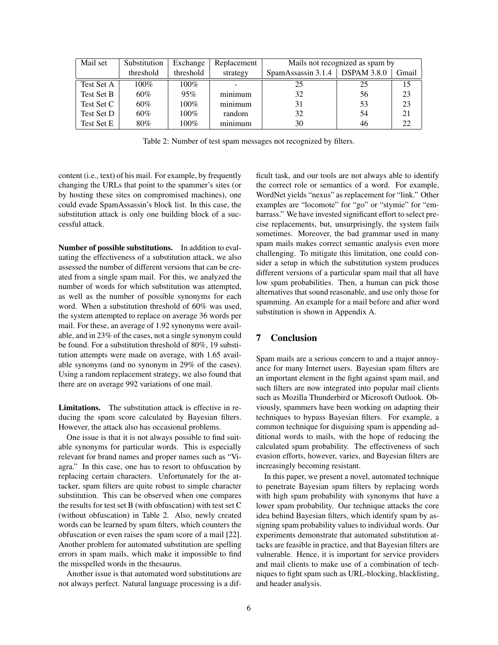| Mail set   | Substitution | Exchange  | Replacement | Mails not recognized as spam by |                    |       |  |  |  |
|------------|--------------|-----------|-------------|---------------------------------|--------------------|-------|--|--|--|
|            | threshold    | threshold | strategy    | SpamAssassin 3.1.4              | <b>DSPAM 3.8.0</b> | Gmail |  |  |  |
| Test Set A | $100\%$      | 100%      |             | 25                              | 25                 | 15    |  |  |  |
| Test Set B | $60\%$       | 95%       | minimum     | 32                              | 56                 | 23    |  |  |  |
| Test Set C | $60\%$       | $100\%$   | minimum     | 31                              | 53                 | 23    |  |  |  |
| Test Set D | $60\%$       | $100\%$   | random      | 32                              | 54                 | 21    |  |  |  |
| Test Set E | 80%          | $100\%$   | minimum     | 30                              | 46                 | 22    |  |  |  |

Table 2: Number of test spam messages not recognized by filters.

content (i.e., text) of his mail. For example, by frequently changing the URLs that point to the spammer's sites (or by hosting these sites on compromised machines), one could evade SpamAssassin's block list. In this case, the substitution attack is only one building block of a successful attack.

Number of possible substitutions. In addition to evaluating the effectiveness of a substitution attack, we also assessed the number of different versions that can be created from a single spam mail. For this, we analyzed the number of words for which substitution was attempted, as well as the number of possible synonyms for each word. When a substitution threshold of 60% was used, the system attempted to replace on average 36 words per mail. For these, an average of 1.92 synonyms were available, and in 23% of the cases, not a single synonym could be found. For a substitution threshold of 80%, 19 substitution attempts were made on average, with 1.65 available synonyms (and no synonym in 29% of the cases). Using a random replacement strategy, we also found that there are on average 992 variations of one mail.

Limitations. The substitution attack is effective in reducing the spam score calculated by Bayesian filters. However, the attack also has occasional problems.

One issue is that it is not always possible to find suitable synonyms for particular words. This is especially relevant for brand names and proper names such as "Viagra." In this case, one has to resort to obfuscation by replacing certain characters. Unfortunately for the attacker, spam filters are quite robust to simple character substitution. This can be observed when one compares the results for test set B (with obfuscation) with test set C (without obfuscation) in Table 2. Also, newly created words can be learned by spam filters, which counters the obfuscation or even raises the spam score of a mail [22]. Another problem for automated substitution are spelling errors in spam mails, which make it impossible to find the misspelled words in the thesaurus.

Another issue is that automated word substitutions are not always perfect. Natural language processing is a difficult task, and our tools are not always able to identify the correct role or semantics of a word. For example, WordNet yields "nexus" as replacement for "link." Other examples are "locomote" for "go" or "stymie" for "embarrass." We have invested significant effort to select precise replacements, but, unsurprisingly, the system fails sometimes. Moreover, the bad grammar used in many spam mails makes correct semantic analysis even more challenging. To mitigate this limitation, one could consider a setup in which the substitution system produces different versions of a particular spam mail that all have low spam probabilities. Then, a human can pick those alternatives that sound reasonable, and use only those for spamming. An example for a mail before and after word substitution is shown in Appendix A.

## 7 Conclusion

Spam mails are a serious concern to and a major annoyance for many Internet users. Bayesian spam filters are an important element in the fight against spam mail, and such filters are now integrated into popular mail clients such as Mozilla Thunderbird or Microsoft Outlook. Obviously, spammers have been working on adapting their techniques to bypass Bayesian filters. For example, a common technique for disguising spam is appending additional words to mails, with the hope of reducing the calculated spam probability. The effectiveness of such evasion efforts, however, varies, and Bayesian filters are increasingly becoming resistant.

In this paper, we present a novel, automated technique to penetrate Bayesian spam filters by replacing words with high spam probability with synonyms that have a lower spam probability. Our technique attacks the core idea behind Bayesian filters, which identify spam by assigning spam probability values to individual words. Our experiments demonstrate that automated substitution attacks are feasible in practice, and that Bayesian filters are vulnerable. Hence, it is important for service providers and mail clients to make use of a combination of techniques to fight spam such as URL-blocking, blacklisting, and header analysis.